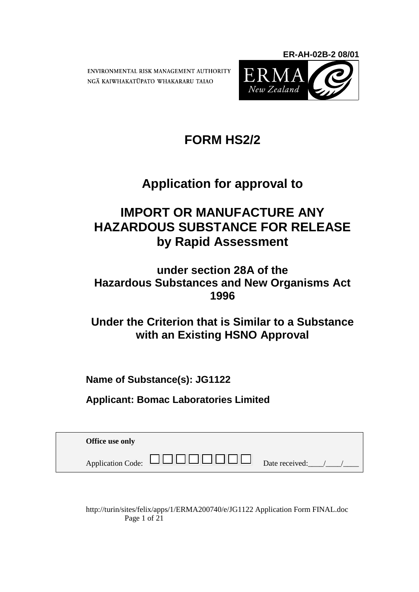ENVIRONMENTAL RISK MANAGEMENT AUTHORITY NGA KAIWHAKATUPATO WHAKARARU TAIAO



# **FORM HS2/2**

# **Application for approval to**

## **IMPORT OR MANUFACTURE ANY HAZARDOUS SUBSTANCE FOR RELEASE by Rapid Assessment**

## **under section 28A of the Hazardous Substances and New Organisms Act 1996**

**Under the Criterion that is Similar to a Substance with an Existing HSNO Approval**

**Name of Substance(s): JG1122**

**Applicant: Bomac Laboratories Limited**

| Office use only                                      |                |
|------------------------------------------------------|----------------|
| $\mathbf{H}$ . The $\mathbf{H}$<br>Application Code: | Date received: |

http://turin/sites/felix/apps/1/ERMA200740/e/JG1122 Application Form FINAL.doc Page 1 of 21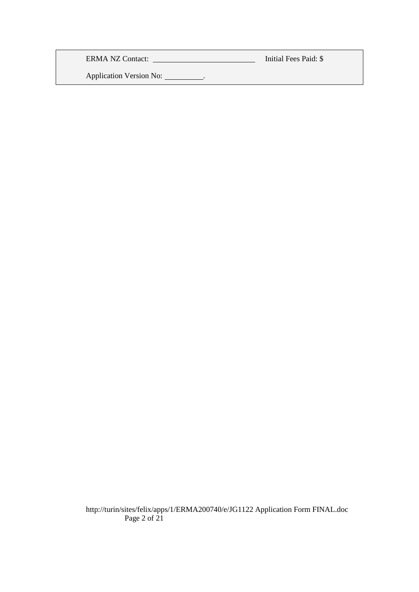ERMA NZ Contact: Initial Fees Paid: \$

Application Version No: \_\_\_\_\_\_\_\_\_.

http://turin/sites/felix/apps/1/ERMA200740/e/JG1122 Application Form FINAL.doc Page 2 of 21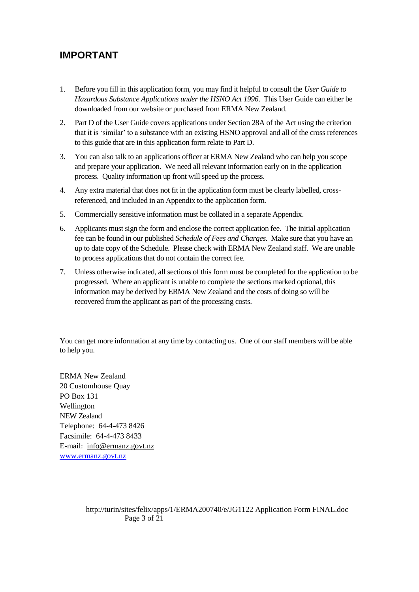## **IMPORTANT**

- 1. Before you fill in this application form, you may find it helpful to consult the *User Guide to Hazardous Substance Applications under the HSNO Act 1996*. This User Guide can either be downloaded from our website or purchased from ERMA New Zealand.
- 2. Part D of the User Guide covers applications under Section 28A of the Act using the criterion that it is "similar" to a substance with an existing HSNO approval and all of the cross references to this guide that are in this application form relate to Part D.
- 3. You can also talk to an applications officer at ERMA New Zealand who can help you scope and prepare your application. We need all relevant information early on in the application process. Quality information up front will speed up the process.
- 4. Any extra material that does not fit in the application form must be clearly labelled, crossreferenced, and included in an Appendix to the application form.
- 5. Commercially sensitive information must be collated in a separate Appendix.
- 6. Applicants must sign the form and enclose the correct application fee. The initial application fee can be found in our published *Schedule of Fees and Charges*. Make sure that you have an up to date copy of the Schedule. Please check with ERMA New Zealand staff. We are unable to process applications that do not contain the correct fee.
- 7. Unless otherwise indicated, all sections of this form must be completed for the application to be progressed. Where an applicant is unable to complete the sections marked optional, this information may be derived by ERMA New Zealand and the costs of doing so will be recovered from the applicant as part of the processing costs.

You can get more information at any time by contacting us. One of our staff members will be able to help you.

ERMA New Zealand 20 Customhouse Quay PO Box 131 Wellington NEW Zealand Telephone: 64-4-473 8426 Facsimile: 64-4-473 8433 E-mail: [info@ermanz.govt.nz](mailto:info@ermanz.govt.nz) [www.ermanz.govt.nz](http://www.ermanz.govt.nz/)

> http://turin/sites/felix/apps/1/ERMA200740/e/JG1122 Application Form FINAL.doc Page 3 of 21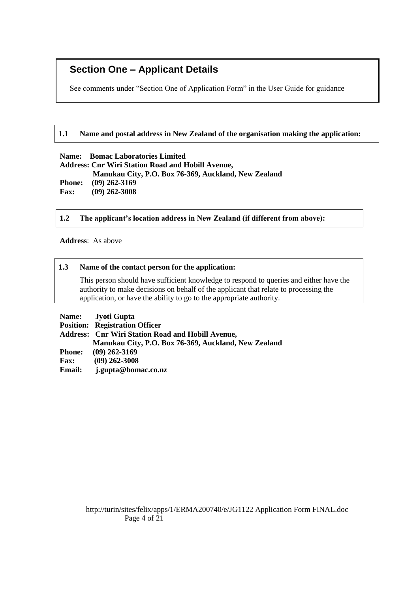## **Section One – Applicant Details**

See comments under "Section One of Application Form" in the User Guide for guidance

#### **1.1 Name and postal address in New Zealand of the organisation making the application:**

#### **Name: Bomac Laboratories Limited**

**Address: Cnr Wiri Station Road and Hobill Avenue, Manukau City, P.O. Box 76-369, Auckland, New Zealand Phone: (09) 262-3169 Fax: (09) 262-3008**

#### **1.2 The applicant's location address in New Zealand (if different from above):**

**Address**: As above

#### **1.3 Name of the contact person for the application:**

This person should have sufficient knowledge to respond to queries and either have the authority to make decisions on behalf of the applicant that relate to processing the application, or have the ability to go to the appropriate authority.

|               | Name: Jyoti Gupta                                        |
|---------------|----------------------------------------------------------|
|               | <b>Position: Registration Officer</b>                    |
|               | <b>Address: Cnr Wiri Station Road and Hobill Avenue,</b> |
|               | Manukau City, P.O. Box 76-369, Auckland, New Zealand     |
| <b>Phone:</b> | $(09)$ 262-3169                                          |
| <b>Fax:</b>   | $(09)$ 262-3008                                          |
| <b>Email:</b> | j.gupta@bomac.co.nz                                      |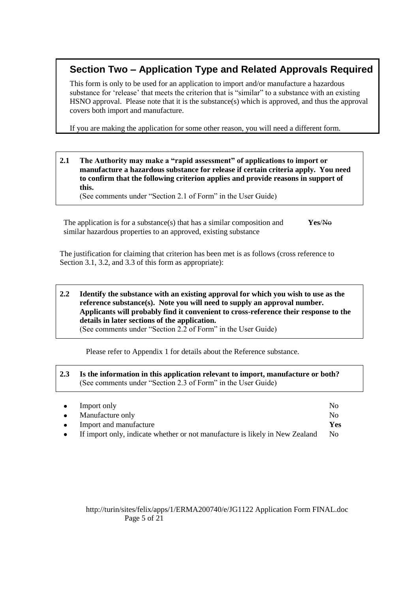## **Section Two – Application Type and Related Approvals Required**

This form is only to be used for an application to import and/or manufacture a hazardous substance for 'release' that meets the criterion that is "similar" to a substance with an existing HSNO approval. Please note that it is the substance(s) which is approved, and thus the approval covers both import and manufacture.

If you are making the application for some other reason, you will need a different form.

#### **2.1 The Authority may make a "rapid assessment" of applications to import or manufacture a hazardous substance for release if certain criteria apply. You need to confirm that the following criterion applies and provide reasons in support of this.**

(See comments under "Section 2.1 of Form" in the User Guide)

The application is for a substance(s) that has a similar composition and similar hazardous properties to an approved, existing substance **Yes**/No

The justification for claiming that criterion has been met is as follows (cross reference to Section 3.1, 3.2, and 3.3 of this form as appropriate):

#### **2.2 Identify the substance with an existing approval for which you wish to use as the reference substance(s). Note you will need to supply an approval number. Applicants will probably find it convenient to cross-reference their response to the details in later sections of the application.** (See comments under "Section 2.2 of Form" in the User Guide)

Please refer to Appendix 1 for details about the Reference substance.

#### **2.3 Is the information in this application relevant to import, manufacture or both?** (See comments under "Section 2.3 of Form" in the User Guide)

| $\bullet$ | Import only                                                                  | $\overline{N}_{0}$ |
|-----------|------------------------------------------------------------------------------|--------------------|
|           | $\bullet$ Manufacture only                                                   | $\overline{N}_{0}$ |
| $\bullet$ | Import and manufacture                                                       | Yes                |
| $\bullet$ | If import only, indicate whether or not manufacture is likely in New Zealand | No.                |

#### http://turin/sites/felix/apps/1/ERMA200740/e/JG1122 Application Form FINAL.doc Page 5 of 21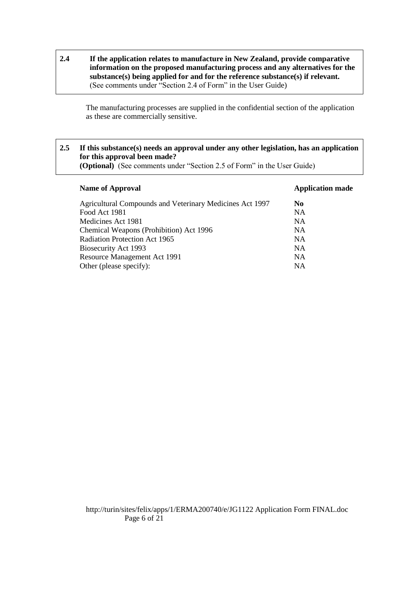**2.4 If the application relates to manufacture in New Zealand, provide comparative information on the proposed manufacturing process and any alternatives for the substance(s) being applied for and for the reference substance(s) if relevant.** (See comments under "Section 2.4 of Form" in the User Guide)

The manufacturing processes are supplied in the confidential section of the application as these are commercially sensitive.

#### **2.5 If this substance(s) needs an approval under any other legislation, has an application for this approval been made?**

**(Optional)** (See comments under "Section 2.5 of Form" in the User Guide)

| <b>Name of Approval</b>                                  | <b>Application made</b> |
|----------------------------------------------------------|-------------------------|
| Agricultural Compounds and Veterinary Medicines Act 1997 | No.                     |
| Food Act 1981                                            | <b>NA</b>               |
| Medicines Act 1981                                       | <b>NA</b>               |
| Chemical Weapons (Prohibition) Act 1996                  | <b>NA</b>               |
| Radiation Protection Act 1965                            | <b>NA</b>               |
| Biosecurity Act 1993                                     | <b>NA</b>               |
| Resource Management Act 1991                             | <b>NA</b>               |
| Other (please specify):                                  | <b>NA</b>               |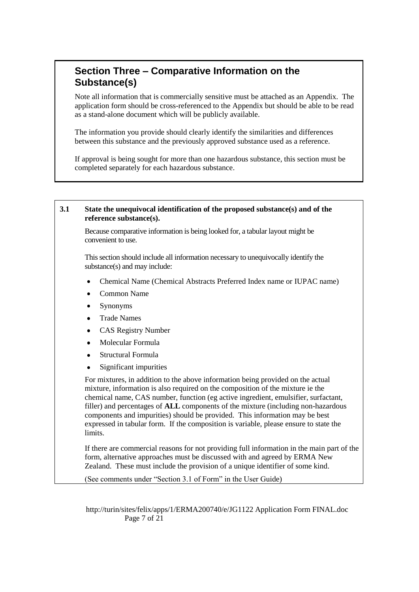## **Section Three – Comparative Information on the Substance(s)**

Note all information that is commercially sensitive must be attached as an Appendix. The application form should be cross-referenced to the Appendix but should be able to be read as a stand-alone document which will be publicly available.

The information you provide should clearly identify the similarities and differences between this substance and the previously approved substance used as a reference.

If approval is being sought for more than one hazardous substance, this section must be completed separately for each hazardous substance.

#### **3.1 State the unequivocal identification of the proposed substance(s) and of the reference substance(s).**

Because comparative information is being looked for, a tabular layout might be convenient to use.

This section should include all information necessary to unequivocally identify the substance(s) and may include:

- $\bullet$ Chemical Name (Chemical Abstracts Preferred Index name or IUPAC name)
- Common Name
- Synonyms
- Trade Names  $\bullet$
- CAS Registry Number
- Molecular Formula  $\bullet$
- Structural Formula
- $\bullet$ Significant impurities

For mixtures, in addition to the above information being provided on the actual mixture, information is also required on the composition of the mixture ie the chemical name, CAS number, function (eg active ingredient, emulsifier, surfactant, filler) and percentages of **ALL** components of the mixture (including non-hazardous components and impurities) should be provided. This information may be best expressed in tabular form. If the composition is variable, please ensure to state the limits.

If there are commercial reasons for not providing full information in the main part of the form, alternative approaches must be discussed with and agreed by ERMA New Zealand. These must include the provision of a unique identifier of some kind.

(See comments under "Section 3.1 of Form" in the User Guide)

http://turin/sites/felix/apps/1/ERMA200740/e/JG1122 Application Form FINAL.doc Page 7 of 21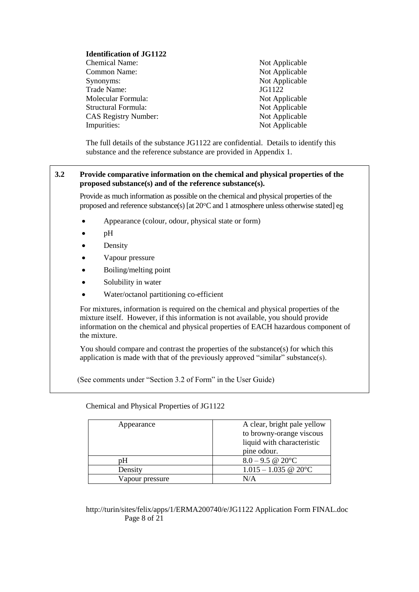#### **Identification of JG1122**

- Chemical Name: Not Applicable Common Name: Not Applicable Synonyms: Not Applicable Trade Name: JG1122 Molecular Formula: Not Applicable Structural Formula: Not Applicable CAS Registry Number: Not Applicable Impurities: Not Applicable
	-

The full details of the substance JG1122 are confidential. Details to identify this substance and the reference substance are provided in Appendix 1.

#### **3.2 Provide comparative information on the chemical and physical properties of the proposed substance(s) and of the reference substance(s).**

Provide as much information as possible on the chemical and physical properties of the proposed and reference substance(s) [at  $20^{\circ}$ C and 1 atmosphere unless otherwise stated] eg

- Appearance (colour, odour, physical state or form)
- pH  $\bullet$
- Density
- Vapour pressure
- Boiling/melting point
- Solubility in water  $\bullet$
- Water/octanol partitioning co-efficient

For mixtures, information is required on the chemical and physical properties of the mixture itself. However, if this information is not available, you should provide information on the chemical and physical properties of EACH hazardous component of the mixture.

You should compare and contrast the properties of the substance(s) for which this application is made with that of the previously approved "similar" substance(s).

(See comments under "Section 3.2 of Form" in the User Guide)

| Appearance      | A clear, bright pale yellow |
|-----------------|-----------------------------|
|                 | to browny-orange viscous    |
|                 | liquid with characteristic  |
|                 | pine odour.                 |
| pΗ              | $8.0 - 9.5 \& 20^{\circ}$ C |
| Density         | $1.015 - 1.035$ @ 20°C      |
| Vapour pressure | N/A                         |

Chemical and Physical Properties of JG1122

#### http://turin/sites/felix/apps/1/ERMA200740/e/JG1122 Application Form FINAL.doc Page 8 of 21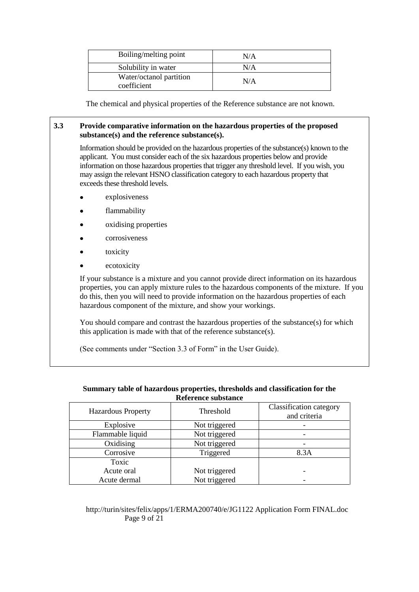| Boiling/melting point                  | N/A |
|----------------------------------------|-----|
| Solubility in water                    | N/A |
| Water/octanol partition<br>coefficient | N/A |

The chemical and physical properties of the Reference substance are not known.

#### **3.3 Provide comparative information on the hazardous properties of the proposed substance(s) and the reference substance(s).**

Information should be provided on the hazardous properties of the substance(s) known to the applicant. You must consider each of the six hazardous properties below and provide information on those hazardous properties that trigger any threshold level. If you wish, you may assign the relevant HSNO classification category to each hazardous property that exceeds these threshold levels.

- explosiveness
- flammability
- oxidising properties  $\bullet$
- corrosiveness
- toxicity
- ecotoxicity  $\bullet$

If your substance is a mixture and you cannot provide direct information on its hazardous properties, you can apply mixture rules to the hazardous components of the mixture. If you do this, then you will need to provide information on the hazardous properties of each hazardous component of the mixture, and show your workings.

You should compare and contrast the hazardous properties of the substance(s) for which this application is made with that of the reference substance(s).

(See comments under "Section 3.3 of Form" in the User Guide).

| <b>Hazardous Property</b> | Threshold     | Classification category<br>and criteria |
|---------------------------|---------------|-----------------------------------------|
| Explosive                 | Not triggered |                                         |
| Flammable liquid          | Not triggered |                                         |
| Oxidising                 | Not triggered |                                         |
| Corrosive                 | Triggered     | 8.3A                                    |
| Toxic                     |               |                                         |
| Acute oral                | Not triggered |                                         |
| Acute dermal              | Not triggered |                                         |

#### **Summary table of hazardous properties, thresholds and classification for the Reference substance**

#### http://turin/sites/felix/apps/1/ERMA200740/e/JG1122 Application Form FINAL.doc Page 9 of 21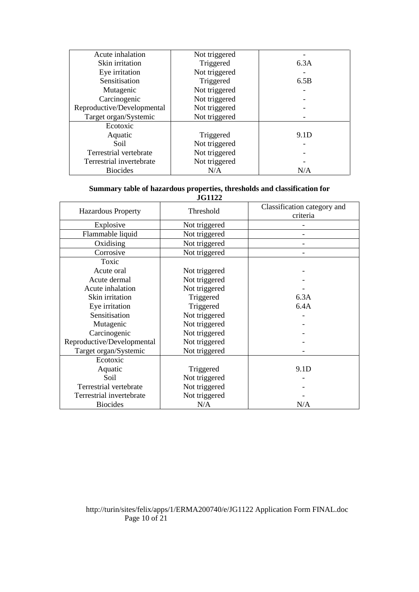| Acute inhalation           | Not triggered |      |
|----------------------------|---------------|------|
| Skin irritation            | Triggered     | 6.3A |
| Eye irritation             | Not triggered |      |
| Sensitisation              | Triggered     | 6.5B |
| Mutagenic                  | Not triggered |      |
| Carcinogenic               | Not triggered |      |
| Reproductive/Developmental | Not triggered |      |
| Target organ/Systemic      | Not triggered |      |
| Ecotoxic                   |               |      |
| Aquatic                    | Triggered     | 9.1D |
| Soil                       | Not triggered |      |
| Terrestrial vertebrate     | Not triggered |      |
| Terrestrial invertebrate   | Not triggered |      |
| <b>Biocides</b>            | N/A           | N/A  |

### **Summary table of hazardous properties, thresholds and classification for**

| <b>JG1122</b>              |               |                                         |  |
|----------------------------|---------------|-----------------------------------------|--|
| <b>Hazardous Property</b>  | Threshold     | Classification category and<br>criteria |  |
| Explosive                  | Not triggered |                                         |  |
| Flammable liquid           | Not triggered |                                         |  |
| Oxidising                  | Not triggered |                                         |  |
| Corrosive                  | Not triggered |                                         |  |
| Toxic                      |               |                                         |  |
| Acute oral                 | Not triggered |                                         |  |
| Acute dermal               | Not triggered |                                         |  |
| Acute inhalation           | Not triggered |                                         |  |
| Skin irritation            | Triggered     | 6.3A                                    |  |
| Eye irritation             | Triggered     | 6.4A                                    |  |
| Sensitisation              | Not triggered |                                         |  |
| Mutagenic                  | Not triggered |                                         |  |
| Carcinogenic               | Not triggered |                                         |  |
| Reproductive/Developmental | Not triggered |                                         |  |
| Target organ/Systemic      | Not triggered |                                         |  |
| Ecotoxic                   |               |                                         |  |
| Aquatic                    | Triggered     | 9.1D                                    |  |
| Soil                       | Not triggered |                                         |  |
| Terrestrial vertebrate     | Not triggered |                                         |  |
| Terrestrial invertebrate   | Not triggered |                                         |  |
| <b>Biocides</b>            | N/A           | N/A                                     |  |

#### http://turin/sites/felix/apps/1/ERMA200740/e/JG1122 Application Form FINAL.doc Page 10 of 21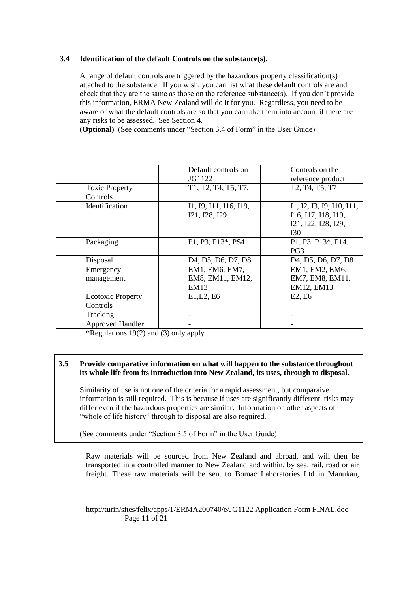#### **3.4 Identification of the default Controls on the substance(s).**

A range of default controls are triggered by the hazardous property classification(s) attached to the substance. If you wish, you can list what these default controls are and check that they are the same as those on the reference substance(s). If you don"t provide this information, ERMA New Zealand will do it for you. Regardless, you need to be aware of what the default controls are so that you can take them into account if there are any risks to be assessed. See Section 4.

**(Optional)** (See comments under "Section 3.4 of Form" in the User Guide)

|                          | Default controls on                                                                | Controls on the                                                                    |
|--------------------------|------------------------------------------------------------------------------------|------------------------------------------------------------------------------------|
|                          | JG1122                                                                             | reference product                                                                  |
| <b>Toxic Property</b>    | T1, T2, T4, T5, T7,                                                                | T2, T4, T5, T7                                                                     |
| Controls                 |                                                                                    |                                                                                    |
| <b>Identification</b>    | I1, I9, I11, I16, I19,                                                             | I1, I2, I3, I9, I10, I11,                                                          |
|                          | I21, I28, I29                                                                      | I16, I17, I18, I19,                                                                |
|                          |                                                                                    | I21, I22, I28, I29,                                                                |
|                          |                                                                                    | I30                                                                                |
| Packaging                | P1, P3, P13*, PS4                                                                  | P1, P3, P13*, P14,                                                                 |
|                          |                                                                                    | PG <sub>3</sub>                                                                    |
| Disposal                 | D <sub>4</sub> , D <sub>5</sub> , D <sub>6</sub> , D <sub>7</sub> , D <sub>8</sub> | D <sub>4</sub> , D <sub>5</sub> , D <sub>6</sub> , D <sub>7</sub> , D <sub>8</sub> |
| Emergency                | EM1, EM6, EM7,                                                                     | EM1, EM2, EM6,                                                                     |
| management               | EM8, EM11, EM12,                                                                   | EM7, EM8, EM11,                                                                    |
|                          | EM13                                                                               | EM12, EM13                                                                         |
| <b>Ecotoxic Property</b> | E1, E2, E6                                                                         | E <sub>2</sub> , E <sub>6</sub>                                                    |
| Controls                 |                                                                                    |                                                                                    |
| Tracking                 |                                                                                    |                                                                                    |
| <b>Approved Handler</b>  |                                                                                    |                                                                                    |

\*Regulations 19(2) and (3) only apply

#### **3.5 Provide comparative information on what will happen to the substance throughout its whole life from its introduction into New Zealand, its uses, through to disposal.**

Similarity of use is not one of the criteria for a rapid assessment, but comparaive information is still required. This is because if uses are significantly different, risks may differ even if the hazardous properties are similar. Information on other aspects of "whole of life history" through to disposal are also required.

(See comments under "Section 3.5 of Form" in the User Guide)

Raw materials will be sourced from New Zealand and abroad, and will then be transported in a controlled manner to New Zealand and within, by sea, rail, road or air freight. These raw materials will be sent to Bomac Laboratories Ltd in Manukau,

#### http://turin/sites/felix/apps/1/ERMA200740/e/JG1122 Application Form FINAL.doc Page 11 of 21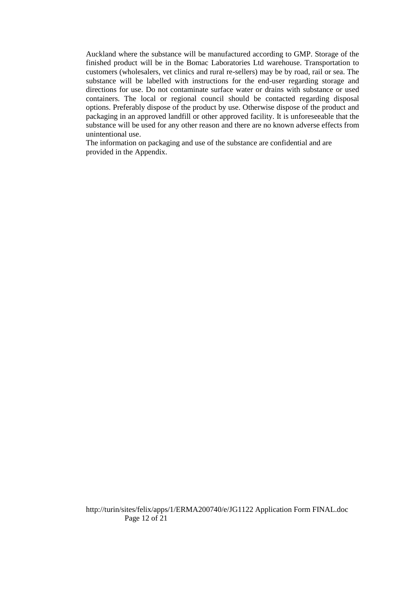Auckland where the substance will be manufactured according to GMP. Storage of the finished product will be in the Bomac Laboratories Ltd warehouse. Transportation to customers (wholesalers, vet clinics and rural re-sellers) may be by road, rail or sea. The substance will be labelled with instructions for the end-user regarding storage and directions for use. Do not contaminate surface water or drains with substance or used containers. The local or regional council should be contacted regarding disposal options. Preferably dispose of the product by use. Otherwise dispose of the product and packaging in an approved landfill or other approved facility. It is unforeseeable that the substance will be used for any other reason and there are no known adverse effects from unintentional use.

The information on packaging and use of the substance are confidential and are provided in the Appendix.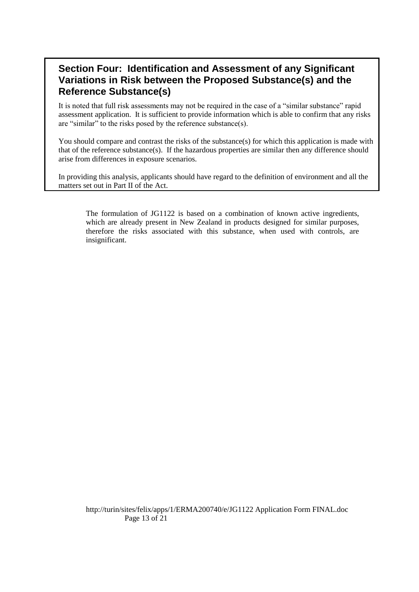## **Section Four: Identification and Assessment of any Significant Variations in Risk between the Proposed Substance(s) and the Reference Substance(s)**

It is noted that full risk assessments may not be required in the case of a "similar substance" rapid assessment application. It is sufficient to provide information which is able to confirm that any risks are "similar" to the risks posed by the reference substance(s).

You should compare and contrast the risks of the substance(s) for which this application is made with that of the reference substance(s). If the hazardous properties are similar then any difference should arise from differences in exposure scenarios.

In providing this analysis, applicants should have regard to the definition of environment and all the matters set out in Part II of the Act.

The formulation of JG1122 is based on a combination of known active ingredients, which are already present in New Zealand in products designed for similar purposes, therefore the risks associated with this substance, when used with controls, are insignificant.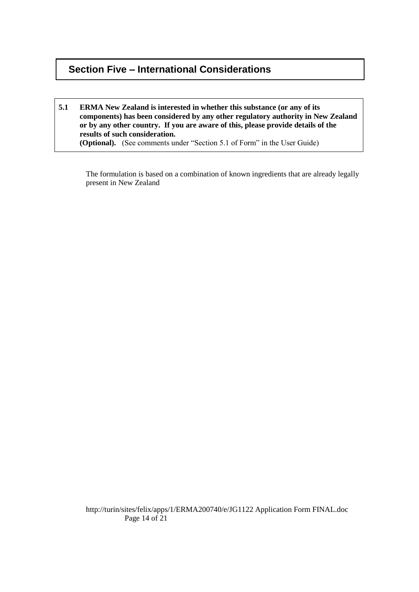## **Section Five – International Considerations**

#### **5.1 ERMA New Zealand is interested in whether this substance (or any of its components) has been considered by any other regulatory authority in New Zealand or by any other country. If you are aware of this, please provide details of the results of such consideration. (Optional).** (See comments under "Section 5.1 of Form" in the User Guide)

The formulation is based on a combination of known ingredients that are already legally present in New Zealand

http://turin/sites/felix/apps/1/ERMA200740/e/JG1122 Application Form FINAL.doc Page 14 of 21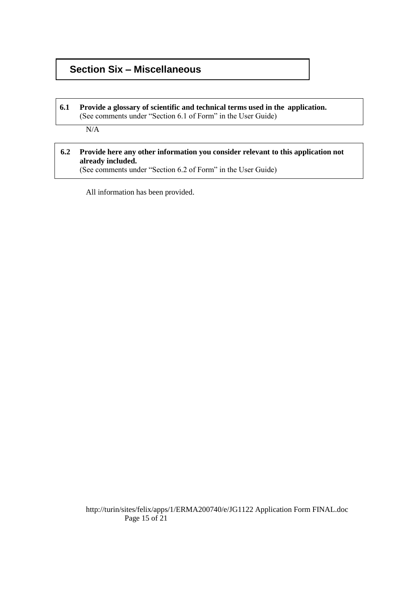## **Section Six – Miscellaneous**

#### **6.1 Provide a glossary of scientific and technical terms used in the application.**  (See comments under "Section 6.1 of Form" in the User Guide)

N/A

#### **6.2 Provide here any other information you consider relevant to this application not already included.**

(See comments under "Section 6.2 of Form" in the User Guide)

All information has been provided.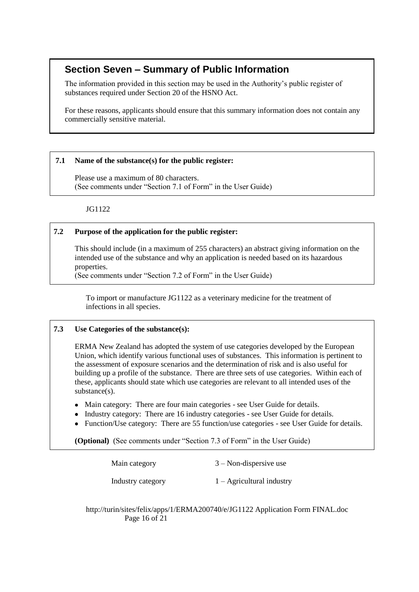## **Section Seven – Summary of Public Information**

The information provided in this section may be used in the Authority"s public register of substances required under Section 20 of the HSNO Act.

For these reasons, applicants should ensure that this summary information does not contain any commercially sensitive material.

#### **7.1 Name of the substance(s) for the public register:**

Please use a maximum of 80 characters. (See comments under "Section 7.1 of Form" in the User Guide)

JG1122

#### **7.2 Purpose of the application for the public register:**

This should include (in a maximum of 255 characters) an abstract giving information on the intended use of the substance and why an application is needed based on its hazardous properties.

(See comments under "Section 7.2 of Form" in the User Guide)

To import or manufacture JG1122 as a veterinary medicine for the treatment of infections in all species.

#### **7.3 Use Categories of the substance(s):**

ERMA New Zealand has adopted the system of use categories developed by the European Union, which identify various functional uses of substances. This information is pertinent to the assessment of exposure scenarios and the determination of risk and is also useful for building up a profile of the substance. There are three sets of use categories. Within each of these, applicants should state which use categories are relevant to all intended uses of the substance(s).

- Main category: There are four main categories see User Guide for details.
- Industry category: There are 16 industry categories see User Guide for details.
- Function/Use category: There are 55 function/use categories see User Guide for details.

**(Optional)** (See comments under "Section 7.3 of Form" in the User Guide)

| Main category     | $3 -$ Non-dispersive use    |
|-------------------|-----------------------------|
| Industry category | $1 -$ Agricultural industry |

http://turin/sites/felix/apps/1/ERMA200740/e/JG1122 Application Form FINAL.doc Page 16 of 21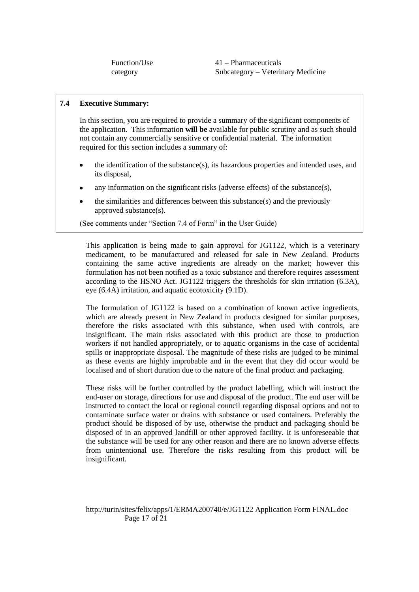Function/Use category

41 – Pharmaceuticals Subcategory – Veterinary Medicine

#### **7.4 Executive Summary:**

In this section, you are required to provide a summary of the significant components of the application. This information **will be** available for public scrutiny and as such should not contain any commercially sensitive or confidential material. The information required for this section includes a summary of:

- the identification of the substance(s), its hazardous properties and intended uses, and its disposal,
- any information on the significant risks (adverse effects) of the substance(s),
- the similarities and differences between this substance(s) and the previously approved substance(s).

(See comments under "Section 7.4 of Form" in the User Guide)

This application is being made to gain approval for JG1122, which is a veterinary medicament, to be manufactured and released for sale in New Zealand. Products containing the same active ingredients are already on the market; however this formulation has not been notified as a toxic substance and therefore requires assessment according to the HSNO Act. JG1122 triggers the thresholds for skin irritation (6.3A), eye (6.4A) irritation, and aquatic ecotoxicity (9.1D).

The formulation of JG1122 is based on a combination of known active ingredients, which are already present in New Zealand in products designed for similar purposes, therefore the risks associated with this substance, when used with controls, are insignificant. The main risks associated with this product are those to production workers if not handled appropriately, or to aquatic organisms in the case of accidental spills or inappropriate disposal. The magnitude of these risks are judged to be minimal as these events are highly improbable and in the event that they did occur would be localised and of short duration due to the nature of the final product and packaging.

These risks will be further controlled by the product labelling, which will instruct the end-user on storage, directions for use and disposal of the product. The end user will be instructed to contact the local or regional council regarding disposal options and not to contaminate surface water or drains with substance or used containers. Preferably the product should be disposed of by use, otherwise the product and packaging should be disposed of in an approved landfill or other approved facility. It is unforeseeable that the substance will be used for any other reason and there are no known adverse effects from unintentional use. Therefore the risks resulting from this product will be insignificant.

#### http://turin/sites/felix/apps/1/ERMA200740/e/JG1122 Application Form FINAL.doc Page 17 of 21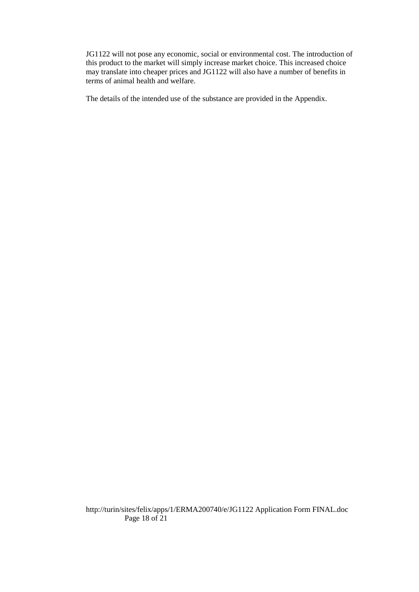JG1122 will not pose any economic, social or environmental cost. The introduction of this product to the market will simply increase market choice. This increased choice may translate into cheaper prices and JG1122 will also have a number of benefits in terms of animal health and welfare.

The details of the intended use of the substance are provided in the Appendix.

http://turin/sites/felix/apps/1/ERMA200740/e/JG1122 Application Form FINAL.doc Page 18 of 21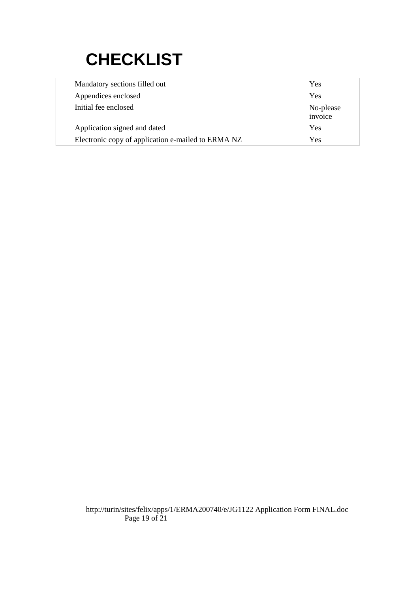# **CHECKLIST**

| Mandatory sections filled out                      | Yes                  |
|----------------------------------------------------|----------------------|
| Appendices enclosed                                | Yes                  |
| Initial fee enclosed                               | No-please<br>invoice |
| Application signed and dated                       | Yes                  |
| Electronic copy of application e-mailed to ERMA NZ | Yes                  |

http://turin/sites/felix/apps/1/ERMA200740/e/JG1122 Application Form FINAL.doc Page 19 of 21